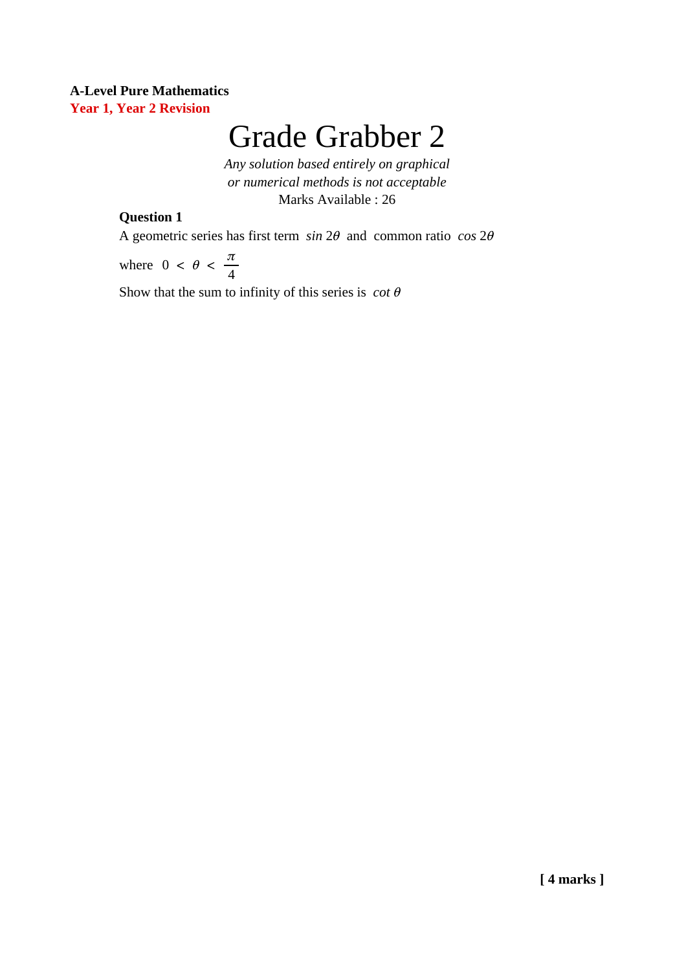#### **A-Level Pure Mathematics Year 1, Year 2 Revision**

# Grade Grabber 2

*Any solution based entirely on graphical or numerical methods is not acceptable* Marks Available : 26

#### **Question 1**

A geometric series has first term *sin* 2θ and common ratio *cos* 2θ

 $0 < \theta < \frac{\pi}{4}$ 4 where

Show that the sum to infinity of this series is *cot* θ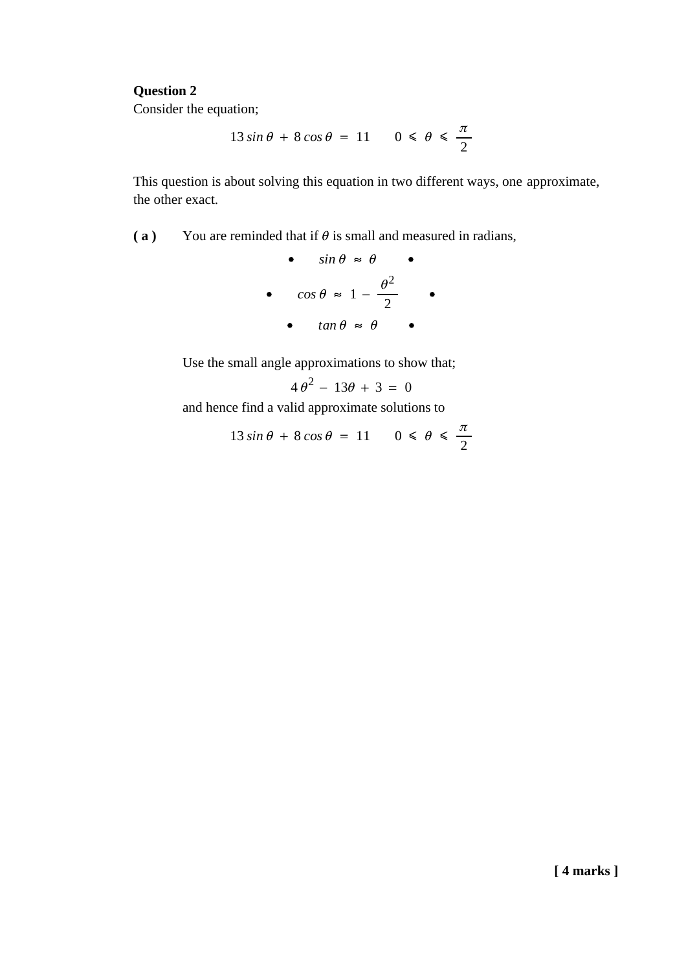#### **Question 2**

Consider the equation;

$$
13\sin\theta + 8\cos\theta = 11 \qquad 0 \le \theta \le \frac{\pi}{2}
$$

This question is about solving this equation in two different ways, one approximate, the other exact.

**(a)** You are reminded that if  $\theta$  is small and measured in radians,

• 
$$
\sin \theta \approx \theta
$$
  
\n•  $\cos \theta \approx 1 - \frac{\theta^2}{2}$   
\n•  $\tan \theta \approx \theta$ 

Use the small angle approximations to show that;

$$
4\theta^2 - 13\theta + 3 = 0
$$

and hence find a valid approximate solutions to

$$
13\sin\theta + 8\cos\theta = 11 \qquad 0 \le \theta \le \frac{\pi}{2}
$$

**[ 4 marks ]**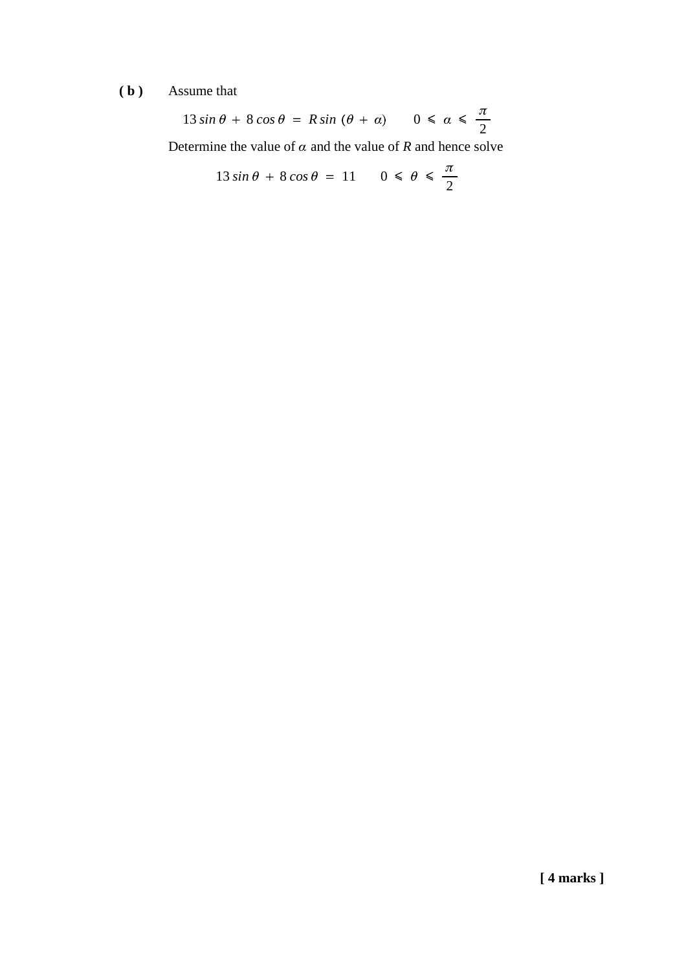## **( b )** Assume that

$$
13\sin\theta + 8\cos\theta = R\sin\left(\theta + \alpha\right) \quad 0 \le \alpha \le \frac{\pi}{2}
$$

Determine the value of  $\alpha$  and the value of  $R$  and hence solve

$$
13\sin\theta + 8\cos\theta = 11 \qquad 0 \le \theta \le \frac{\pi}{2}
$$

**[ 4 marks ]**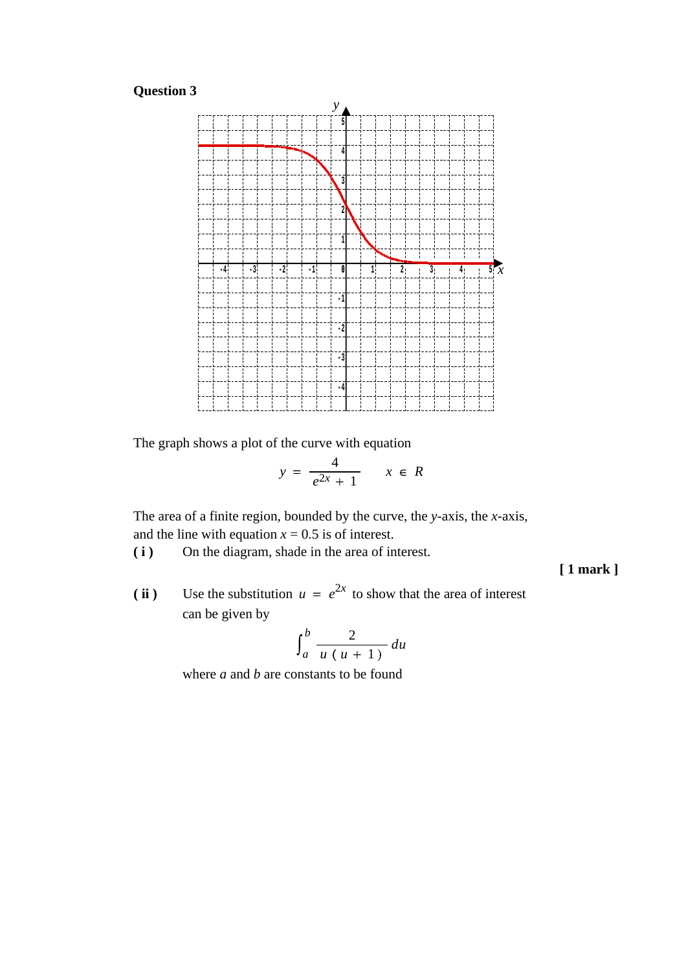### **Question 3**



The graph shows a plot of the curve with equation

$$
y = \frac{4}{e^{2x} + 1} \qquad x \in R
$$

The area of a finite region, bounded by the curve, the *y*-axis, the *x*-axis, and the line with equation  $x = 0.5$  is of interest.

**( i )** On the diagram, shade in the area of interest.

**[ 1 mark ]**

(ii) Use the substitution  $u = e^{2x}$  to show that the area of interest can be given by

$$
\int_a^b \frac{2}{u(u+1)} du
$$

where *a* and *b* are constants to be found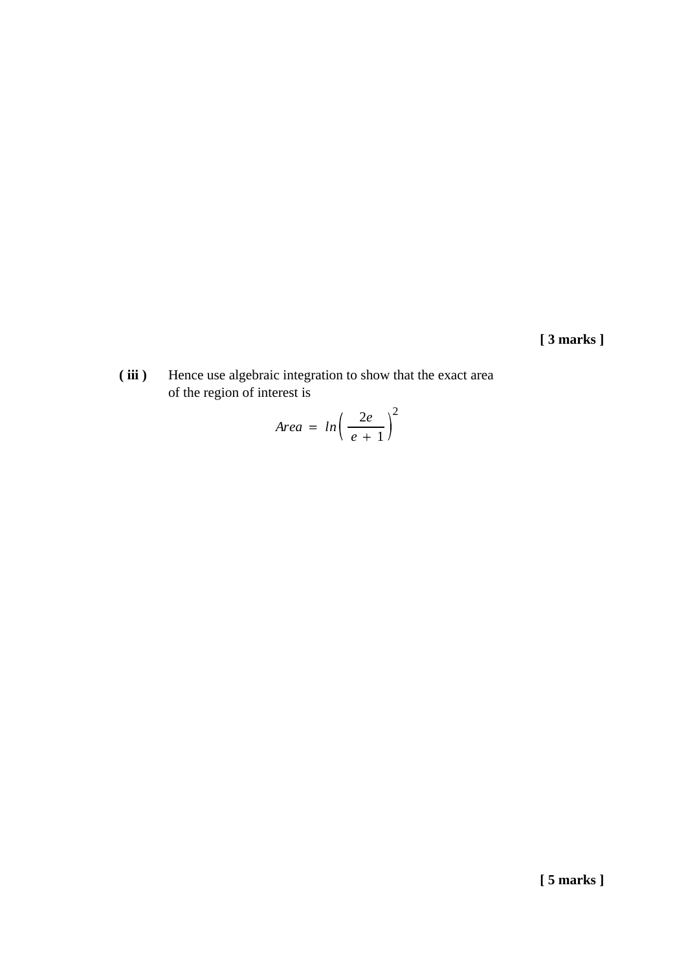**[ 3 marks ]**

**( iii )** Hence use algebraic integration to show that the exact area of the region of interest is

$$
Area = ln\left(\frac{2e}{e+1}\right)^2
$$